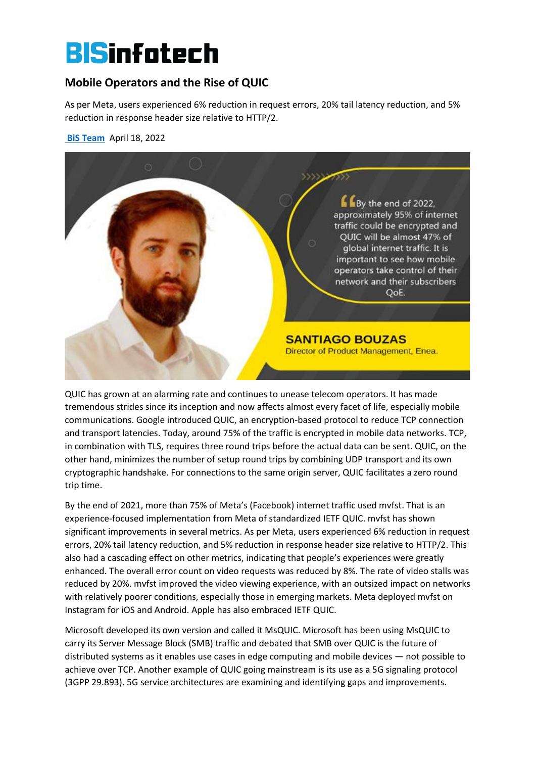# **BISinfotech**

## **Mobile Operators and the Rise of QUIC**

As per Meta, users experienced 6% reduction in request errors, 20% tail latency reduction, and 5% reduction in response header size relative to HTTP/2.

**[BiS Team](https://www.bisinfotech.com/author/techmagn_bis/)** April 18, 2022



QUIC has grown at an alarming rate and continues to unease telecom operators. It has made tremendous strides since its inception and now affects almost every facet of life, especially mobile communications. Google introduced QUIC, an encryption-based protocol to reduce TCP connection and transport latencies. Today, around 75% of the traffic is encrypted in mobile data networks. TCP, in combination with TLS, requires three round trips before the actual data can be sent. QUIC, on the other hand, minimizes the number of setup round trips by combining UDP transport and its own cryptographic handshake. For connections to the same origin server, QUIC facilitates a zero round trip time.

By the end of 2021, more than 75% of Meta's (Facebook) internet traffic used mvfst. That is an experience-focused implementation from Meta of standardized IETF QUIC. mvfst has shown significant improvements in several metrics. As per Meta, users experienced 6% reduction in request errors, 20% tail latency reduction, and 5% reduction in response header size relative to HTTP/2. This also had a cascading effect on other metrics, indicating that people's experiences were greatly enhanced. The overall error count on video requests was reduced by 8%. The rate of video stalls was reduced by 20%. mvfst improved the video viewing experience, with an outsized impact on networks with relatively poorer conditions, especially those in emerging markets. Meta deployed mvfst on Instagram for iOS and Android. Apple has also embraced IETF QUIC.

Microsoft developed its own version and called it MsQUIC. Microsoft has been using MsQUIC to carry its Server Message Block (SMB) traffic and debated that SMB over QUIC is the future of distributed systems as it enables use cases in edge computing and mobile devices — not possible to achieve over TCP. Another example of QUIC going mainstream is its use as a 5G signaling protocol (3GPP 29.893). 5G service architectures are examining and identifying gaps and improvements.